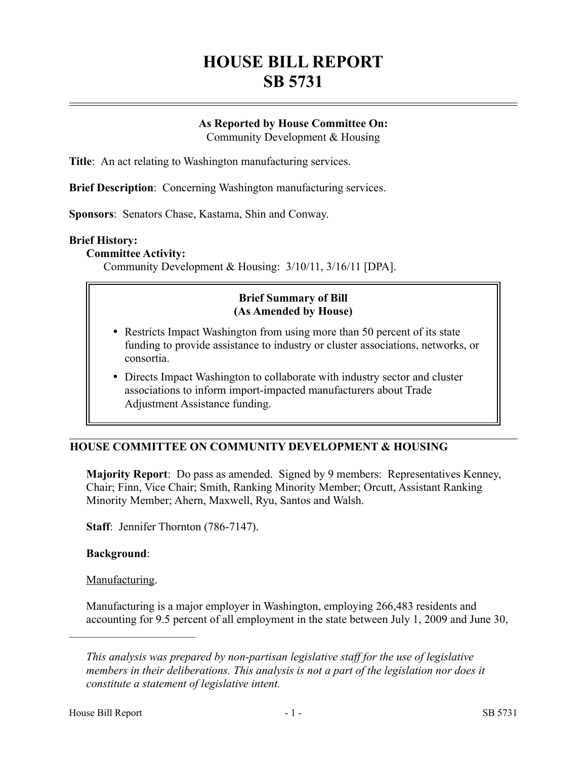# **HOUSE BILL REPORT SB 5731**

## **As Reported by House Committee On:**

Community Development & Housing

**Title**: An act relating to Washington manufacturing services.

**Brief Description**: Concerning Washington manufacturing services.

**Sponsors**: Senators Chase, Kastama, Shin and Conway.

### **Brief History:**

### **Committee Activity:**

Community Development & Housing: 3/10/11, 3/16/11 [DPA].

## **Brief Summary of Bill (As Amended by House)**

- Restricts Impact Washington from using more than 50 percent of its state funding to provide assistance to industry or cluster associations, networks, or consortia.
- Directs Impact Washington to collaborate with industry sector and cluster associations to inform import-impacted manufacturers about Trade Adjustment Assistance funding.

# **HOUSE COMMITTEE ON COMMUNITY DEVELOPMENT & HOUSING**

**Majority Report**: Do pass as amended. Signed by 9 members: Representatives Kenney, Chair; Finn, Vice Chair; Smith, Ranking Minority Member; Orcutt, Assistant Ranking Minority Member; Ahern, Maxwell, Ryu, Santos and Walsh.

**Staff**: Jennifer Thornton (786-7147).

## **Background**:

Manufacturing.

––––––––––––––––––––––

Manufacturing is a major employer in Washington, employing 266,483 residents and accounting for 9.5 percent of all employment in the state between July 1, 2009 and June 30,

*This analysis was prepared by non-partisan legislative staff for the use of legislative members in their deliberations. This analysis is not a part of the legislation nor does it constitute a statement of legislative intent.*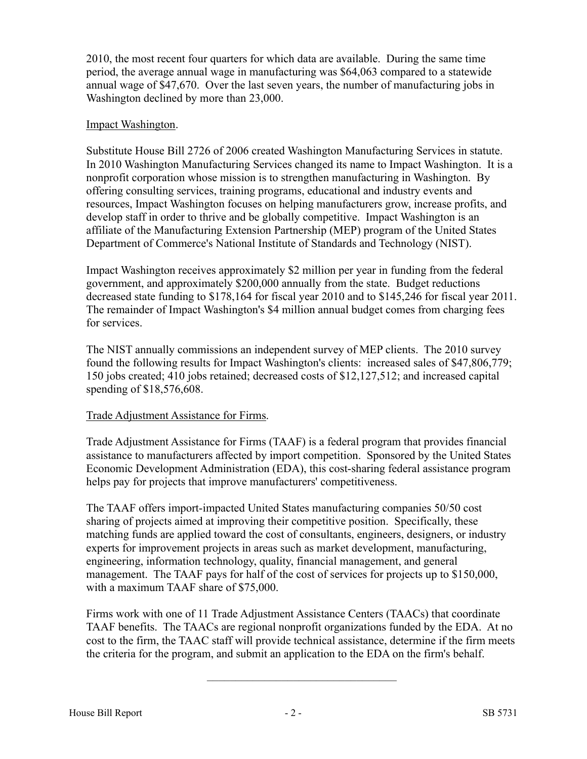2010, the most recent four quarters for which data are available. During the same time period, the average annual wage in manufacturing was \$64,063 compared to a statewide annual wage of \$47,670. Over the last seven years, the number of manufacturing jobs in Washington declined by more than 23,000.

## Impact Washington.

Substitute House Bill 2726 of 2006 created Washington Manufacturing Services in statute. In 2010 Washington Manufacturing Services changed its name to Impact Washington. It is a nonprofit corporation whose mission is to strengthen manufacturing in Washington. By offering consulting services, training programs, educational and industry events and resources, Impact Washington focuses on helping manufacturers grow, increase profits, and develop staff in order to thrive and be globally competitive. Impact Washington is an affiliate of the Manufacturing Extension Partnership (MEP) program of the United States Department of Commerce's National Institute of Standards and Technology (NIST).

Impact Washington receives approximately \$2 million per year in funding from the federal government, and approximately \$200,000 annually from the state. Budget reductions decreased state funding to \$178,164 for fiscal year 2010 and to \$145,246 for fiscal year 2011. The remainder of Impact Washington's \$4 million annual budget comes from charging fees for services.

The NIST annually commissions an independent survey of MEP clients. The 2010 survey found the following results for Impact Washington's clients: increased sales of \$47,806,779; 150 jobs created; 410 jobs retained; decreased costs of \$12,127,512; and increased capital spending of \$18,576,608.

## Trade Adjustment Assistance for Firms.

Trade Adjustment Assistance for Firms (TAAF) is a federal program that provides financial assistance to manufacturers affected by import competition. Sponsored by the United States Economic Development Administration (EDA), this cost-sharing federal assistance program helps pay for projects that improve manufacturers' competitiveness.

The TAAF offers import-impacted United States manufacturing companies 50/50 cost sharing of projects aimed at improving their competitive position. Specifically, these matching funds are applied toward the cost of consultants, engineers, designers, or industry experts for improvement projects in areas such as market development, manufacturing, engineering, information technology, quality, financial management, and general management. The TAAF pays for half of the cost of services for projects up to \$150,000, with a maximum TAAF share of \$75,000.

Firms work with one of 11 Trade Adjustment Assistance Centers (TAACs) that coordinate TAAF benefits. The TAACs are regional nonprofit organizations funded by the EDA. At no cost to the firm, the TAAC staff will provide technical assistance, determine if the firm meets the criteria for the program, and submit an application to the EDA on the firm's behalf.

–––––––––––––––––––––––––––––––––